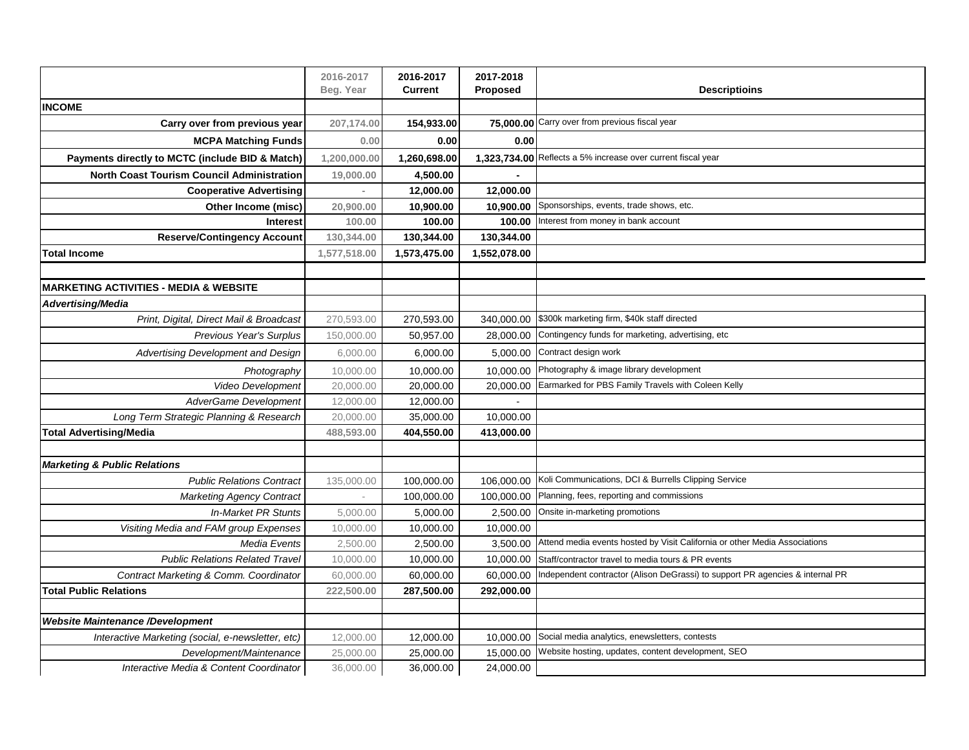|                                                   | 2016-2017<br>Beg. Year | 2016-2017<br>Current | 2017-2018<br>Proposed | <b>Descriptioins</b>                                                          |
|---------------------------------------------------|------------------------|----------------------|-----------------------|-------------------------------------------------------------------------------|
| <b>INCOME</b>                                     |                        |                      |                       |                                                                               |
| Carry over from previous year                     | 207,174.00             | 154,933.00           |                       | 75,000.00 Carry over from previous fiscal year                                |
| <b>MCPA Matching Funds</b>                        | 0.00                   | 0.00                 | 0.00                  |                                                                               |
| Payments directly to MCTC (include BID & Match)   | 1,200,000.00           | 1,260,698.00         |                       | 1,323,734.00 Reflects a 5% increase over current fiscal year                  |
| <b>North Coast Tourism Council Administration</b> | 19,000.00              | 4,500.00             |                       |                                                                               |
| <b>Cooperative Advertising</b>                    |                        | 12,000.00            | 12,000.00             |                                                                               |
| Other Income (misc)                               | 20,900.00              | 10,900.00            | 10,900.00             | Sponsorships, events, trade shows, etc.                                       |
| <b>Interest</b>                                   | 100.00                 | 100.00               | 100.00                | Interest from money in bank account                                           |
| <b>Reserve/Contingency Account</b>                | 130,344.00             | 130,344.00           | 130,344.00            |                                                                               |
| <b>Total Income</b>                               | 1,577,518.00           | 1,573,475.00         | 1,552,078.00          |                                                                               |
|                                                   |                        |                      |                       |                                                                               |
| <b>MARKETING ACTIVITIES - MEDIA &amp; WEBSITE</b> |                        |                      |                       |                                                                               |
| Advertising/Media                                 |                        |                      |                       |                                                                               |
| Print, Digital, Direct Mail & Broadcast           | 270,593.00             | 270,593.00           | 340,000.00            | \$300k marketing firm, \$40k staff directed                                   |
| Previous Year's Surplus                           | 150,000.00             | 50,957.00            | 28,000.00             | Contingency funds for marketing, advertising, etc                             |
| Advertising Development and Design                | 6,000.00               | 6,000.00             | 5,000.00              | Contract design work                                                          |
| Photography                                       | 10,000.00              | 10,000.00            | 10,000.00             | Photography & image library development                                       |
| Video Development                                 | 20,000.00              | 20,000.00            | 20,000.00             | Earmarked for PBS Family Travels with Coleen Kelly                            |
| <b>AdverGame Development</b>                      | 12,000.00              | 12,000.00            |                       |                                                                               |
| Long Term Strategic Planning & Research           | 20,000.00              | 35,000.00            | 10,000.00             |                                                                               |
| <b>Total Advertising/Media</b>                    | 488,593.00             | 404,550.00           | 413,000.00            |                                                                               |
|                                                   |                        |                      |                       |                                                                               |
| <b>Marketing &amp; Public Relations</b>           |                        |                      |                       |                                                                               |
| <b>Public Relations Contract</b>                  | 135,000.00             | 100,000.00           | 106,000.00            | Koli Communications, DCI & Burrells Clipping Service                          |
| <b>Marketing Agency Contract</b>                  |                        | 100,000.00           | 100,000.00            | Planning, fees, reporting and commissions                                     |
| In-Market PR Stunts                               | 5,000.00               | 5,000.00             | 2,500.00              | Onsite in-marketing promotions                                                |
| Visiting Media and FAM group Expenses             | 10,000.00              | 10,000.00            | 10,000.00             |                                                                               |
| <b>Media Events</b>                               | 2,500.00               | 2,500.00             | 3,500.00              | Attend media events hosted by Visit California or other Media Associations    |
| <b>Public Relations Related Travel</b>            | 10,000.00              | 10,000.00            | 10,000.00             | Staff/contractor travel to media tours & PR events                            |
| Contract Marketing & Comm. Coordinator            | 60,000.00              | 60,000.00            | 60,000.00             | Independent contractor (Alison DeGrassi) to support PR agencies & internal PR |
| <b>Total Public Relations</b>                     | 222,500.00             | 287,500.00           | 292,000.00            |                                                                               |
|                                                   |                        |                      |                       |                                                                               |
| <b>Website Maintenance /Development</b>           |                        |                      |                       |                                                                               |
| Interactive Marketing (social, e-newsletter, etc) | 12,000.00              | 12,000.00            |                       | 10,000.00 Social media analytics, enewsletters, contests                      |
| Development/Maintenance                           | 25,000.00              | 25,000.00            | 15,000.00             | Website hosting, updates, content development, SEO                            |
| Interactive Media & Content Coordinator           | 36,000.00              | 36,000.00            | 24,000.00             |                                                                               |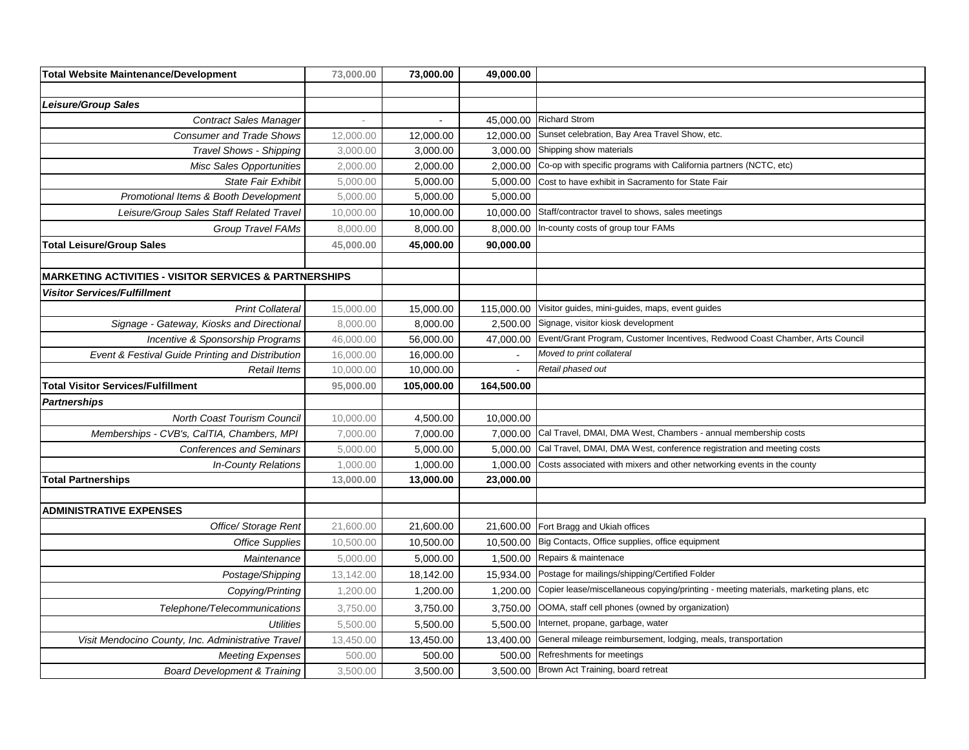| <b>Total Website Maintenance/Development</b>                      | 73,000.00 | 73,000.00  | 49,000.00  |                                                                                       |
|-------------------------------------------------------------------|-----------|------------|------------|---------------------------------------------------------------------------------------|
|                                                                   |           |            |            |                                                                                       |
| <b>Leisure/Group Sales</b>                                        |           |            |            |                                                                                       |
| <b>Contract Sales Manager</b>                                     |           |            |            | 45,000.00 Richard Strom                                                               |
| <b>Consumer and Trade Shows</b>                                   | 12,000.00 | 12,000.00  | 12,000.00  | Sunset celebration, Bay Area Travel Show, etc.                                        |
| <b>Travel Shows - Shipping</b>                                    | 3,000.00  | 3,000.00   | 3,000.00   | Shipping show materials                                                               |
| <b>Misc Sales Opportunities</b>                                   | 2,000.00  | 2,000.00   | 2,000.00   | Co-op with specific programs with California partners (NCTC, etc)                     |
| <b>State Fair Exhibit</b>                                         | 5,000.00  | 5,000.00   | 5,000.00   | Cost to have exhibit in Sacramento for State Fair                                     |
| Promotional Items & Booth Development                             | 5,000.00  | 5,000.00   | 5,000.00   |                                                                                       |
| Leisure/Group Sales Staff Related Travel                          | 10,000.00 | 10,000.00  |            | 10,000.00 Staff/contractor travel to shows, sales meetings                            |
| Group Travel FAMs                                                 | 8,000.00  | 8,000.00   | 8,000.00   | In-county costs of group tour FAMs                                                    |
| <b>Total Leisure/Group Sales</b>                                  | 45,000.00 | 45,000.00  | 90,000.00  |                                                                                       |
|                                                                   |           |            |            |                                                                                       |
| <b>MARKETING ACTIVITIES - VISITOR SERVICES &amp; PARTNERSHIPS</b> |           |            |            |                                                                                       |
| <b>Visitor Services/Fulfillment</b>                               |           |            |            |                                                                                       |
| <b>Print Collateral</b>                                           | 15,000.00 | 15,000.00  | 115,000.00 | Visitor guides, mini-guides, maps, event guides                                       |
| Signage - Gateway, Kiosks and Directional                         | 8,000.00  | 8,000.00   | 2,500.00   | Signage, visitor kiosk development                                                    |
| Incentive & Sponsorship Programs                                  | 46,000.00 | 56,000.00  | 47,000.00  | Event/Grant Program, Customer Incentives, Redwood Coast Chamber, Arts Council         |
| Event & Festival Guide Printing and Distribution                  | 16,000.00 | 16,000.00  |            | Moved to print collateral                                                             |
| <b>Retail Items</b>                                               | 10,000.00 | 10,000.00  |            | Retail phased out                                                                     |
| <b>Total Visitor Services/Fulfillment</b>                         | 95,000.00 | 105,000.00 | 164,500.00 |                                                                                       |
| <b>Partnerships</b>                                               |           |            |            |                                                                                       |
| North Coast Tourism Council                                       | 10,000.00 | 4,500.00   | 10,000.00  |                                                                                       |
| Memberships - CVB's, CalTIA, Chambers, MPI                        | 7,000.00  | 7,000.00   | 7,000.00   | Cal Travel, DMAI, DMA West, Chambers - annual membership costs                        |
| <b>Conferences and Seminars</b>                                   | 5,000.00  | 5,000.00   | 5,000.00   | Cal Travel, DMAI, DMA West, conference registration and meeting costs                 |
| <b>In-County Relations</b>                                        | 1,000.00  | 1,000.00   | 1,000.00   | Costs associated with mixers and other networking events in the county                |
| <b>Total Partnerships</b>                                         | 13,000.00 | 13,000.00  | 23,000.00  |                                                                                       |
|                                                                   |           |            |            |                                                                                       |
| <b>ADMINISTRATIVE EXPENSES</b>                                    |           |            |            |                                                                                       |
| Office/ Storage Rent                                              | 21,600.00 | 21,600.00  | 21,600.00  | Fort Bragg and Ukiah offices                                                          |
| <b>Office Supplies</b>                                            | 10,500.00 | 10,500.00  |            | 10,500.00 Big Contacts, Office supplies, office equipment                             |
| Maintenance                                                       | 5,000.00  | 5,000.00   |            | 1,500.00 Repairs & maintenace                                                         |
| Postage/Shipping                                                  | 13,142.00 | 18,142.00  | 15,934.00  | Postage for mailings/shipping/Certified Folder                                        |
| Copying/Printing                                                  | 1,200.00  | 1,200.00   | 1,200.00   | Copier lease/miscellaneous copying/printing - meeting materials, marketing plans, etc |
| Telephone/Telecommunications                                      | 3,750.00  | 3,750.00   | 3,750.00   | OOMA, staff cell phones (owned by organization)                                       |
| <b>Utilities</b>                                                  | 5,500.00  | 5,500.00   | 5,500.00   | Internet, propane, garbage, water                                                     |
| Visit Mendocino County, Inc. Administrative Travel                | 13,450.00 | 13,450.00  | 13,400.00  | General mileage reimbursement, lodging, meals, transportation                         |
| <b>Meeting Expenses</b>                                           | 500.00    | 500.00     | 500.00     | Refreshments for meetings                                                             |
| <b>Board Development &amp; Training</b>                           | 3,500.00  | 3,500.00   |            | 3,500.00 Brown Act Training, board retreat                                            |
|                                                                   |           |            |            |                                                                                       |